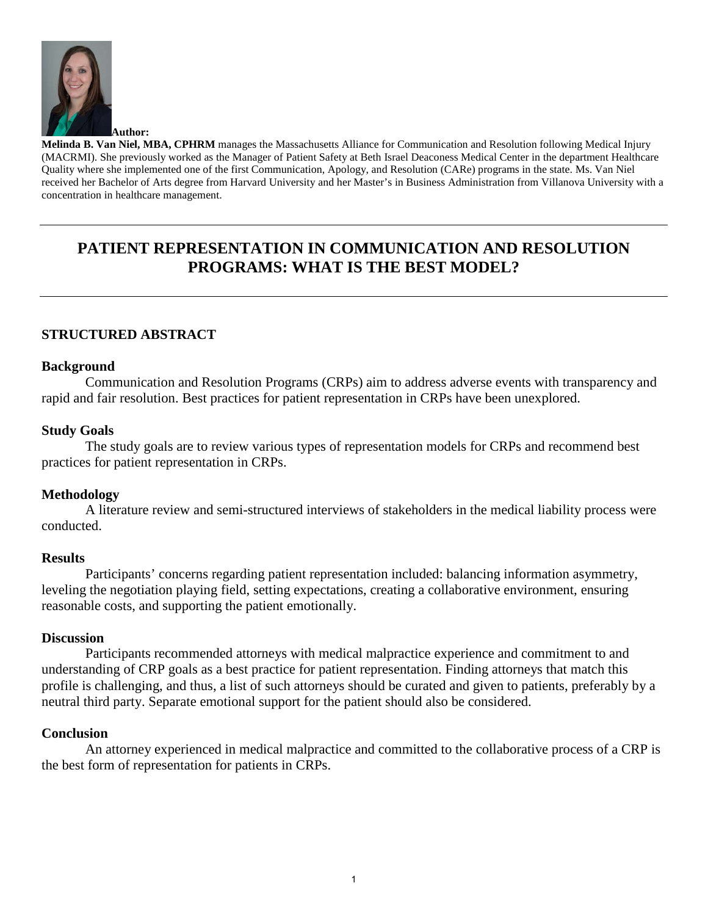

**Melinda B. Van Niel, MBA, CPHRM** manages the Massachusetts Alliance for Communication and Resolution following Medical Injury (MACRMI). She previously worked as the Manager of Patient Safety at Beth Israel Deaconess Medical Center in the department Healthcare Quality where she implemented one of the first Communication, Apology, and Resolution (CARe) programs in the state. Ms. Van Niel received her Bachelor of Arts degree from Harvard University and her Master's in Business Administration from Villanova University with a concentration in healthcare management.

# **PATIENT REPRESENTATION IN COMMUNICATION AND RESOLUTION PROGRAMS: WHAT IS THE BEST MODEL?**

# **STRUCTURED ABSTRACT**

### **Background**

 Communication and Resolution Programs (CRPs) aim to address adverse events with transparency and rapid and fair resolution. Best practices for patient representation in CRPs have been unexplored.

### **Study Goals**

 The study goals are to review various types of representation models for CRPs and recommend best practices for patient representation in CRPs.

### **Methodology**

 A literature review and semi-structured interviews of stakeholders in the medical liability process were conducted.

### **Results**

 Participants' concerns regarding patient representation included: balancing information asymmetry, leveling the negotiation playing field, setting expectations, creating a collaborative environment, ensuring reasonable costs, and supporting the patient emotionally.

### **Discussion**

 Participants recommended attorneys with medical malpractice experience and commitment to and understanding of CRP goals as a best practice for patient representation. Finding attorneys that match this profile is challenging, and thus, a list of such attorneys should be curated and given to patients, preferably by a neutral third party. Separate emotional support for the patient should also be considered.

### **Conclusion**

 An attorney experienced in medical malpractice and committed to the collaborative process of a CRP is the best form of representation for patients in CRPs.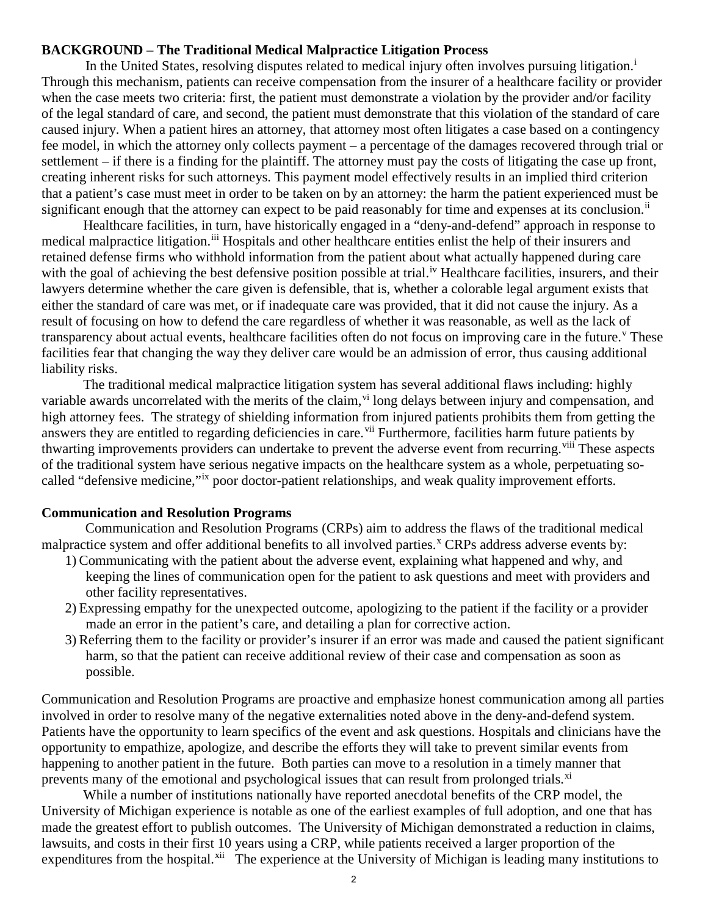### **BACKGROUND – The Traditional Medical Malpractice Litigation Process**

In the Un[i](#page-7-0)ted States, resolving disputes related to medical injury often involves pursuing litigation.<sup>i</sup> Through this mechanism, patients can receive compensation from the insurer of a healthcare facility or provider when the case meets two criteria: first, the patient must demonstrate a violation by the provider and/or facility of the legal standard of care, and second, the patient must demonstrate that this violation of the standard of care caused injury. When a patient hires an attorney, that attorney most often litigates a case based on a contingency fee model, in which the attorney only collects payment – a percentage of the damages recovered through trial or settlement – if there is a finding for the plaintiff. The attorney must pay the costs of litigating the case up front, creating inherent risks for such attorneys. This payment model effectively results in an implied third criterion that a patient's case must meet in order to be taken on by an attorney: the harm the patient experienced must be significant enough that the attorney can expect to be paid reasonably for time and expenses at its conclusion.<sup>[ii](#page-7-1)</sup>

Healthcare facilities, in turn, have historically engaged in a "deny-and-defend" approach in response to medical malpractice litigation.<sup>iii</sup> Hospitals and other healthcare entities enlist the help of their insurers and retained defense firms who withhold information from the patient about what actually happened during care with the goal of achieving the best defens[iv](#page-7-3)e position possible at trial.<sup>iv</sup> Healthcare facilities, insurers, and their lawyers determine whether the care given is defensible, that is, whether a colorable legal argument exists that either the standard of care was met, or if inadequate care was provided, that it did not cause the injury. As a result of focusing on how to defend the care regardless of whether it was reasonable, as well as the lack of transparency about actual e[v](#page-7-4)ents, healthcare facilities often do not focus on improving care in the future.<sup>V</sup> These facilities fear that changing the way they deliver care would be an admission of error, thus causing additional liability risks.

The traditional medical malpractice litigation system has several additional flaws including: highly variable awards uncorrelated with the merits of the claim, v<sup>i</sup> long delays between injury and compensation, and high attorney fees. The strategy of shielding information from injured patients prohibits them from getting the answers they are entitled to regarding deficiencies in care.<sup>[vii](#page-7-6)</sup> Furthermore, facilities harm future patients by thwarting improvements providers can undertake to prevent the adverse event from recurring.<sup>[viii](#page-7-7)</sup> These aspects of the traditional system have serious negative impacts on the healthcare system as a whole, perpetuating socalled "defensive medicine,"[ix](#page-7-8) poor doctor-patient relationships, and weak quality improvement efforts.

#### **Communication and Resolution Programs**

 Communication and Resolution Programs (CRPs) aim to address the flaws of the traditional medical malpractice system and offer additional benefits to all involved parties.<sup>[x](#page-7-9)</sup> CRPs address adverse events by:

- 1) Communicating with the patient about the adverse event, explaining what happened and why, and keeping the lines of communication open for the patient to ask questions and meet with providers and other facility representatives.
- 2) Expressing empathy for the unexpected outcome, apologizing to the patient if the facility or a provider made an error in the patient's care, and detailing a plan for corrective action.
- 3) Referring them to the facility or provider's insurer if an error was made and caused the patient significant harm, so that the patient can receive additional review of their case and compensation as soon as possible.

Communication and Resolution Programs are proactive and emphasize honest communication among all parties involved in order to resolve many of the negative externalities noted above in the deny-and-defend system. Patients have the opportunity to learn specifics of the event and ask questions. Hospitals and clinicians have the opportunity to empathize, apologize, and describe the efforts they will take to prevent similar events from happening to another patient in the future. Both parties can move to a resolution in a timely manner that prevents many of the emotional and psychological issues that can result from prolonged trials.<sup>[xi](#page-7-10)</sup>

While a number of institutions nationally have reported anecdotal benefits of the CRP model, the University of Michigan experience is notable as one of the earliest examples of full adoption, and one that has made the greatest effort to publish outcomes. The University of Michigan demonstrated a reduction in claims, lawsuits, and costs in their first 10 years using a CRP, while patients received a larger proportion of the expenditures from the hospital.<sup>[xii](#page-7-11)</sup> The experience at the University of Michigan is leading many institutions to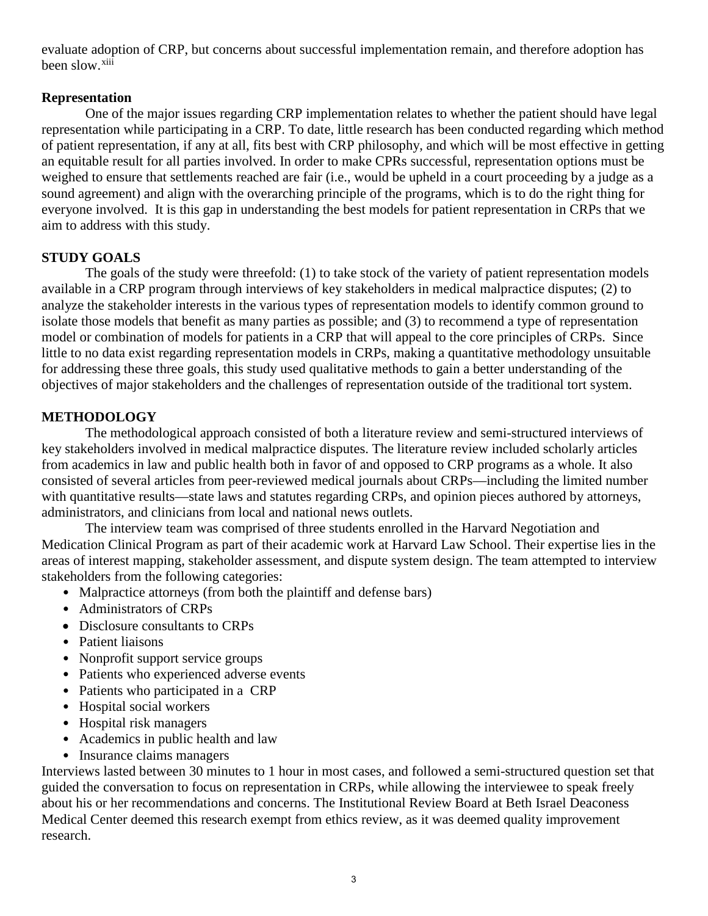evaluate adoption of CRP, but concerns about successful implementation remain, and therefore adoption has been slow.<sup>[xiii](#page-7-12)</sup>

## **Representation**

 One of the major issues regarding CRP implementation relates to whether the patient should have legal representation while participating in a CRP. To date, little research has been conducted regarding which method of patient representation, if any at all, fits best with CRP philosophy, and which will be most effective in getting an equitable result for all parties involved. In order to make CPRs successful, representation options must be weighed to ensure that settlements reached are fair (i.e., would be upheld in a court proceeding by a judge as a sound agreement) and align with the overarching principle of the programs, which is to do the right thing for everyone involved. It is this gap in understanding the best models for patient representation in CRPs that we aim to address with this study.

# **STUDY GOALS**

 The goals of the study were threefold: (1) to take stock of the variety of patient representation models available in a CRP program through interviews of key stakeholders in medical malpractice disputes; (2) to analyze the stakeholder interests in the various types of representation models to identify common ground to isolate those models that benefit as many parties as possible; and (3) to recommend a type of representation model or combination of models for patients in a CRP that will appeal to the core principles of CRPs. Since little to no data exist regarding representation models in CRPs, making a quantitative methodology unsuitable for addressing these three goals, this study used qualitative methods to gain a better understanding of the objectives of major stakeholders and the challenges of representation outside of the traditional tort system.

# **METHODOLOGY**

 The methodological approach consisted of both a literature review and semi-structured interviews of key stakeholders involved in medical malpractice disputes. The literature review included scholarly articles from academics in law and public health both in favor of and opposed to CRP programs as a whole. It also consisted of several articles from peer-reviewed medical journals about CRPs—including the limited number with quantitative results—state laws and statutes regarding CRPs, and opinion pieces authored by attorneys, administrators, and clinicians from local and national news outlets.

 The interview team was comprised of three students enrolled in the Harvard Negotiation and Medication Clinical Program as part of their academic work at Harvard Law School. Their expertise lies in the areas of interest mapping, stakeholder assessment, and dispute system design. The team attempted to interview stakeholders from the following categories:

- Malpractice attorneys (from both the plaintiff and defense bars)
- Administrators of CRPs
- Disclosure consultants to CRPs
- Patient liaisons
- Nonprofit support service groups
- Patients who experienced adverse events
- Patients who participated in a CRP
- Hospital social workers
- Hospital risk managers
- Academics in public health and law
- Insurance claims managers

Interviews lasted between 30 minutes to 1 hour in most cases, and followed a semi-structured question set that guided the conversation to focus on representation in CRPs, while allowing the interviewee to speak freely about his or her recommendations and concerns. The Institutional Review Board at Beth Israel Deaconess Medical Center deemed this research exempt from ethics review, as it was deemed quality improvement research.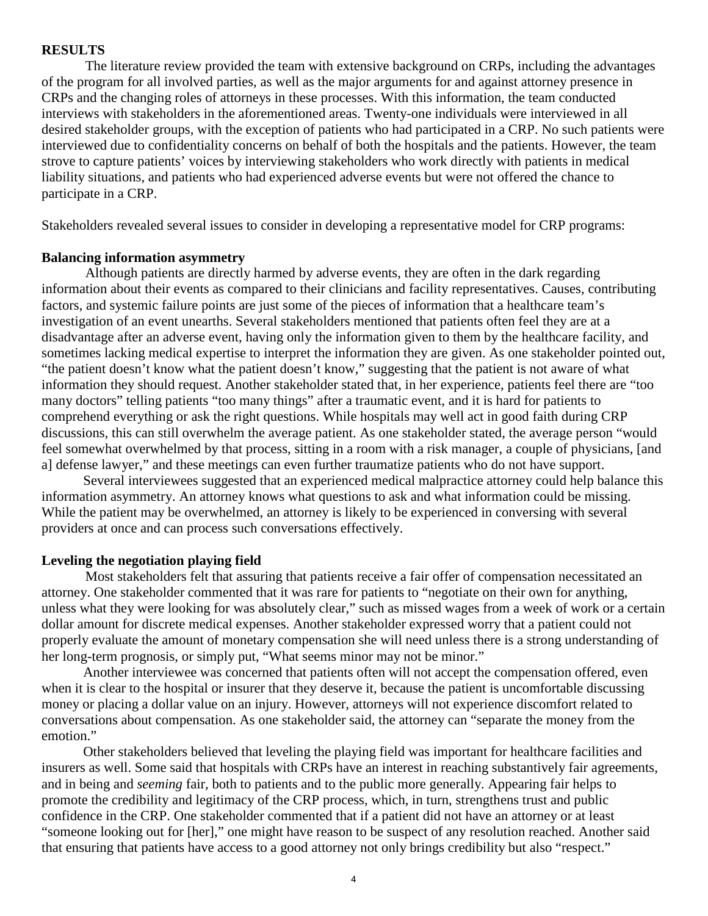#### **RESULTS**

 The literature review provided the team with extensive background on CRPs, including the advantages of the program for all involved parties, as well as the major arguments for and against attorney presence in CRPs and the changing roles of attorneys in these processes. With this information, the team conducted interviews with stakeholders in the aforementioned areas. Twenty-one individuals were interviewed in all desired stakeholder groups, with the exception of patients who had participated in a CRP. No such patients were interviewed due to confidentiality concerns on behalf of both the hospitals and the patients. However, the team strove to capture patients' voices by interviewing stakeholders who work directly with patients in medical liability situations, and patients who had experienced adverse events but were not offered the chance to participate in a CRP.

Stakeholders revealed several issues to consider in developing a representative model for CRP programs:

#### **Balancing information asymmetry**

 Although patients are directly harmed by adverse events, they are often in the dark regarding information about their events as compared to their clinicians and facility representatives. Causes, contributing factors, and systemic failure points are just some of the pieces of information that a healthcare team's investigation of an event unearths. Several stakeholders mentioned that patients often feel they are at a disadvantage after an adverse event, having only the information given to them by the healthcare facility, and sometimes lacking medical expertise to interpret the information they are given. As one stakeholder pointed out, "the patient doesn't know what the patient doesn't know," suggesting that the patient is not aware of what information they should request. Another stakeholder stated that, in her experience, patients feel there are "too many doctors" telling patients "too many things" after a traumatic event, and it is hard for patients to comprehend everything or ask the right questions. While hospitals may well act in good faith during CRP discussions, this can still overwhelm the average patient. As one stakeholder stated, the average person "would feel somewhat overwhelmed by that process, sitting in a room with a risk manager, a couple of physicians, [and a] defense lawyer," and these meetings can even further traumatize patients who do not have support.

Several interviewees suggested that an experienced medical malpractice attorney could help balance this information asymmetry. An attorney knows what questions to ask and what information could be missing. While the patient may be overwhelmed, an attorney is likely to be experienced in conversing with several providers at once and can process such conversations effectively.

#### **Leveling the negotiation playing field**

 Most stakeholders felt that assuring that patients receive a fair offer of compensation necessitated an attorney. One stakeholder commented that it was rare for patients to "negotiate on their own for anything, unless what they were looking for was absolutely clear," such as missed wages from a week of work or a certain dollar amount for discrete medical expenses. Another stakeholder expressed worry that a patient could not properly evaluate the amount of monetary compensation she will need unless there is a strong understanding of her long-term prognosis, or simply put, "What seems minor may not be minor."

Another interviewee was concerned that patients often will not accept the compensation offered, even when it is clear to the hospital or insurer that they deserve it, because the patient is uncomfortable discussing money or placing a dollar value on an injury. However, attorneys will not experience discomfort related to conversations about compensation. As one stakeholder said, the attorney can "separate the money from the emotion."

Other stakeholders believed that leveling the playing field was important for healthcare facilities and insurers as well. Some said that hospitals with CRPs have an interest in reaching substantively fair agreements, and in being and *seeming* fair, both to patients and to the public more generally. Appearing fair helps to promote the credibility and legitimacy of the CRP process, which, in turn, strengthens trust and public confidence in the CRP. One stakeholder commented that if a patient did not have an attorney or at least "someone looking out for [her]," one might have reason to be suspect of any resolution reached. Another said that ensuring that patients have access to a good attorney not only brings credibility but also "respect."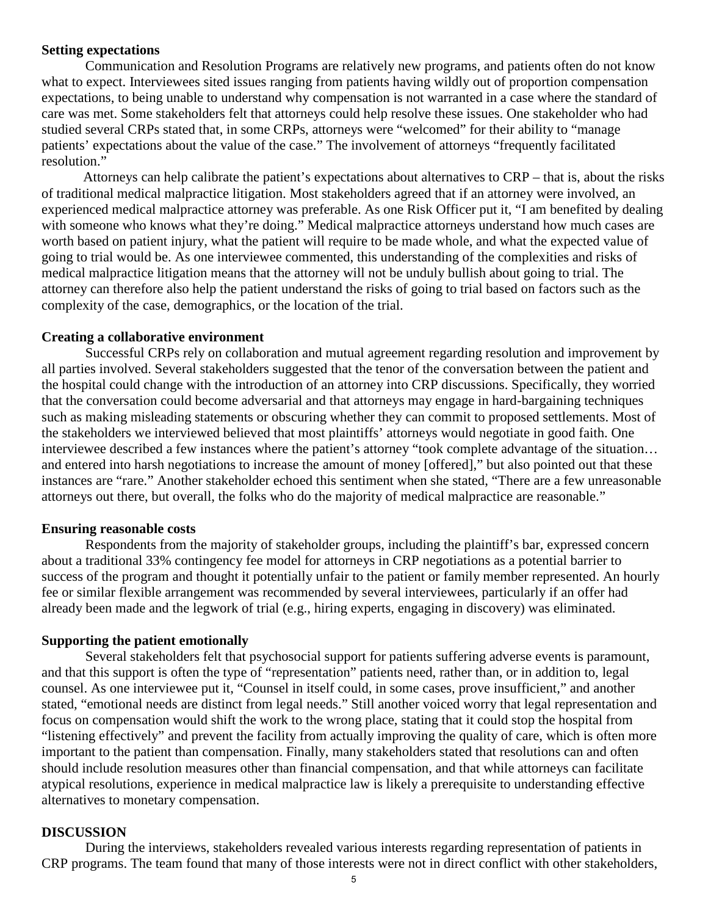#### **Setting expectations**

 Communication and Resolution Programs are relatively new programs, and patients often do not know what to expect. Interviewees sited issues ranging from patients having wildly out of proportion compensation expectations, to being unable to understand why compensation is not warranted in a case where the standard of care was met. Some stakeholders felt that attorneys could help resolve these issues. One stakeholder who had studied several CRPs stated that, in some CRPs, attorneys were "welcomed" for their ability to "manage patients' expectations about the value of the case." The involvement of attorneys "frequently facilitated resolution."

Attorneys can help calibrate the patient's expectations about alternatives to CRP – that is, about the risks of traditional medical malpractice litigation. Most stakeholders agreed that if an attorney were involved, an experienced medical malpractice attorney was preferable. As one Risk Officer put it, "I am benefited by dealing with someone who knows what they're doing." Medical malpractice attorneys understand how much cases are worth based on patient injury, what the patient will require to be made whole, and what the expected value of going to trial would be. As one interviewee commented, this understanding of the complexities and risks of medical malpractice litigation means that the attorney will not be unduly bullish about going to trial. The attorney can therefore also help the patient understand the risks of going to trial based on factors such as the complexity of the case, demographics, or the location of the trial.

### **Creating a collaborative environment**

 Successful CRPs rely on collaboration and mutual agreement regarding resolution and improvement by all parties involved. Several stakeholders suggested that the tenor of the conversation between the patient and the hospital could change with the introduction of an attorney into CRP discussions. Specifically, they worried that the conversation could become adversarial and that attorneys may engage in hard-bargaining techniques such as making misleading statements or obscuring whether they can commit to proposed settlements. Most of the stakeholders we interviewed believed that most plaintiffs' attorneys would negotiate in good faith. One interviewee described a few instances where the patient's attorney "took complete advantage of the situation… and entered into harsh negotiations to increase the amount of money [offered]," but also pointed out that these instances are "rare." Another stakeholder echoed this sentiment when she stated, "There are a few unreasonable attorneys out there, but overall, the folks who do the majority of medical malpractice are reasonable."

#### **Ensuring reasonable costs**

 Respondents from the majority of stakeholder groups, including the plaintiff's bar, expressed concern about a traditional 33% contingency fee model for attorneys in CRP negotiations as a potential barrier to success of the program and thought it potentially unfair to the patient or family member represented. An hourly fee or similar flexible arrangement was recommended by several interviewees, particularly if an offer had already been made and the legwork of trial (e.g., hiring experts, engaging in discovery) was eliminated.

#### **Supporting the patient emotionally**

 Several stakeholders felt that psychosocial support for patients suffering adverse events is paramount, and that this support is often the type of "representation" patients need, rather than, or in addition to, legal counsel. As one interviewee put it, "Counsel in itself could, in some cases, prove insufficient," and another stated, "emotional needs are distinct from legal needs." Still another voiced worry that legal representation and focus on compensation would shift the work to the wrong place, stating that it could stop the hospital from "listening effectively" and prevent the facility from actually improving the quality of care, which is often more important to the patient than compensation. Finally, many stakeholders stated that resolutions can and often should include resolution measures other than financial compensation, and that while attorneys can facilitate atypical resolutions, experience in medical malpractice law is likely a prerequisite to understanding effective alternatives to monetary compensation.

#### **DISCUSSION**

 During the interviews, stakeholders revealed various interests regarding representation of patients in CRP programs. The team found that many of those interests were not in direct conflict with other stakeholders,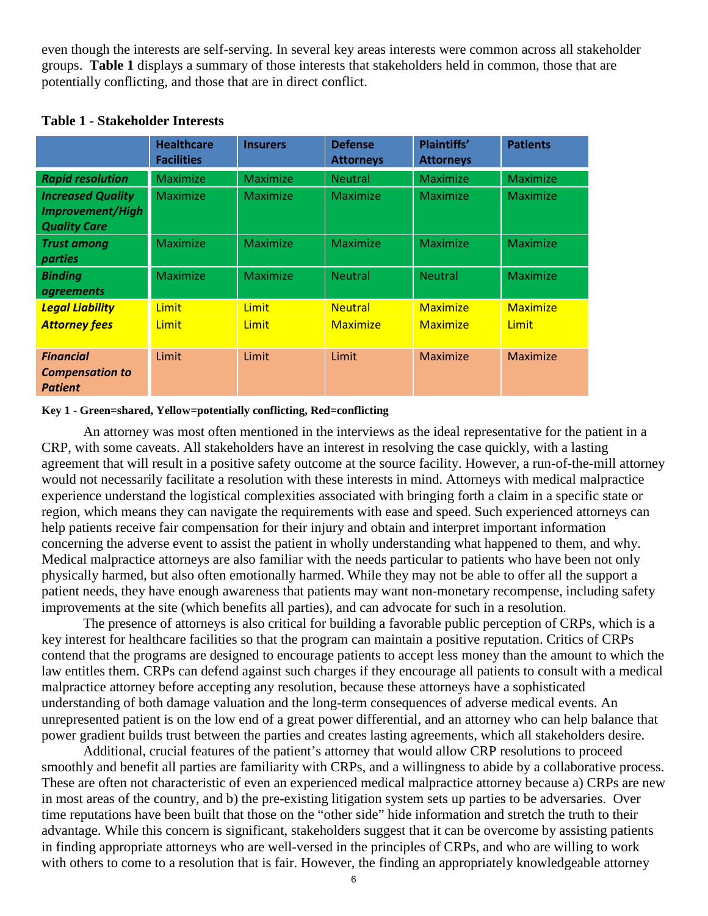even though the interests are self-serving. In several key areas interests were common across all stakeholder groups. **Table 1** displays a summary of those interests that stakeholders held in common, those that are potentially conflicting, and those that are in direct conflict.

|                                                              | <b>Healthcare</b><br><b>Facilities</b> | <b>Insurers</b> | <b>Defense</b><br><b>Attorneys</b> | <b>Plaintiffs'</b><br><b>Attorneys</b> | <b>Patients</b> |
|--------------------------------------------------------------|----------------------------------------|-----------------|------------------------------------|----------------------------------------|-----------------|
| <b>Rapid resolution</b>                                      | <b>Maximize</b>                        | <b>Maximize</b> | <b>Neutral</b>                     | Maximize                               | <b>Maximize</b> |
| <b>Increased Quality</b>                                     | Maximize                               | <b>Maximize</b> | Maximize                           | Maximize                               | Maximize        |
| <b>Improvement/High</b><br><b>Quality Care</b>               |                                        |                 |                                    |                                        |                 |
| <b>Trust among</b><br>parties                                | Maximize                               | <b>Maximize</b> | Maximize                           | Maximize                               | Maximize        |
| <b>Binding</b><br><i>agreements</i>                          | Maximize                               | <b>Maximize</b> | <b>Neutral</b>                     | <b>Neutral</b>                         | Maximize        |
| <b>Legal Liability</b>                                       | <b>Limit</b>                           | Limit           | <b>Neutral</b>                     | <b>Maximize</b>                        | <b>Maximize</b> |
| <b>Attorney fees</b>                                         | <b>Limit</b>                           | Limit           | <b>Maximize</b>                    | <b>Maximize</b>                        | Limit           |
| <b>Financial</b><br><b>Compensation to</b><br><b>Patient</b> | Limit                                  | Limit           | Limit                              | Maximize                               | Maximize        |

### **Table 1 - Stakeholder Interests**

#### **Key 1 - Green=shared, Yellow=potentially conflicting, Red=conflicting**

An attorney was most often mentioned in the interviews as the ideal representative for the patient in a CRP, with some caveats. All stakeholders have an interest in resolving the case quickly, with a lasting agreement that will result in a positive safety outcome at the source facility. However, a run-of-the-mill attorney would not necessarily facilitate a resolution with these interests in mind. Attorneys with medical malpractice experience understand the logistical complexities associated with bringing forth a claim in a specific state or region, which means they can navigate the requirements with ease and speed. Such experienced attorneys can help patients receive fair compensation for their injury and obtain and interpret important information concerning the adverse event to assist the patient in wholly understanding what happened to them, and why. Medical malpractice attorneys are also familiar with the needs particular to patients who have been not only physically harmed, but also often emotionally harmed. While they may not be able to offer all the support a patient needs, they have enough awareness that patients may want non-monetary recompense, including safety improvements at the site (which benefits all parties), and can advocate for such in a resolution.

The presence of attorneys is also critical for building a favorable public perception of CRPs, which is a key interest for healthcare facilities so that the program can maintain a positive reputation. Critics of CRPs contend that the programs are designed to encourage patients to accept less money than the amount to which the law entitles them. CRPs can defend against such charges if they encourage all patients to consult with a medical malpractice attorney before accepting any resolution, because these attorneys have a sophisticated understanding of both damage valuation and the long-term consequences of adverse medical events. An unrepresented patient is on the low end of a great power differential, and an attorney who can help balance that power gradient builds trust between the parties and creates lasting agreements, which all stakeholders desire.

Additional, crucial features of the patient's attorney that would allow CRP resolutions to proceed smoothly and benefit all parties are familiarity with CRPs, and a willingness to abide by a collaborative process. These are often not characteristic of even an experienced medical malpractice attorney because a) CRPs are new in most areas of the country, and b) the pre-existing litigation system sets up parties to be adversaries. Over time reputations have been built that those on the "other side" hide information and stretch the truth to their advantage. While this concern is significant, stakeholders suggest that it can be overcome by assisting patients in finding appropriate attorneys who are well-versed in the principles of CRPs, and who are willing to work with others to come to a resolution that is fair. However, the finding an appropriately knowledgeable attorney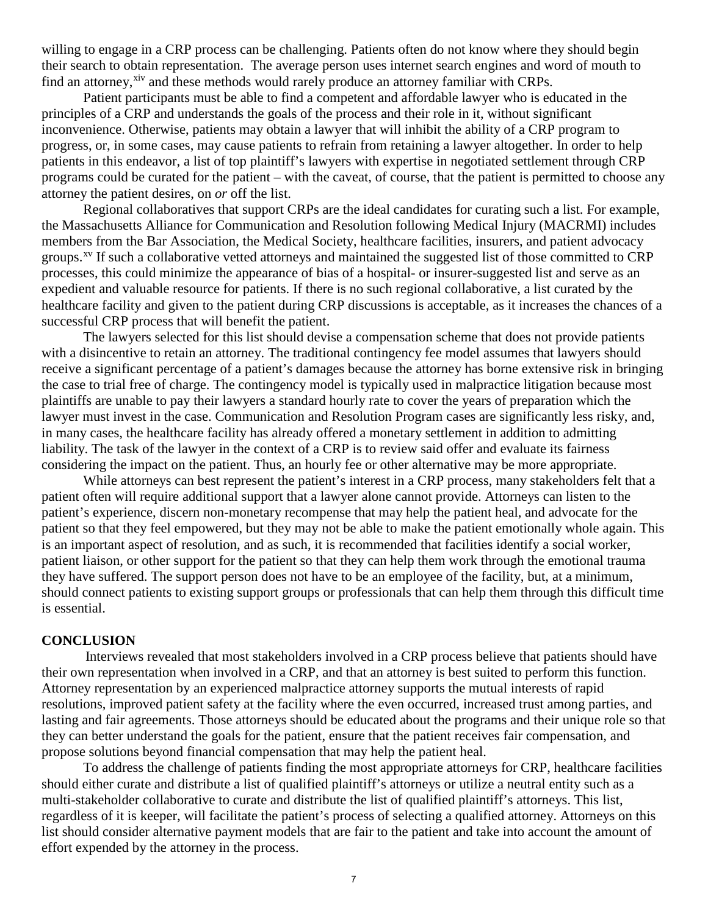willing to engage in a CRP process can be challenging. Patients often do not know where they should begin their search to obtain representation. The average person uses internet search engines and word of mouth to find an attorney,<sup>xiv</sup> and these methods would rarely produce an attorney familiar with CRPs.

Patient participants must be able to find a competent and affordable lawyer who is educated in the principles of a CRP and understands the goals of the process and their role in it, without significant inconvenience. Otherwise, patients may obtain a lawyer that will inhibit the ability of a CRP program to progress, or, in some cases, may cause patients to refrain from retaining a lawyer altogether. In order to help patients in this endeavor, a list of top plaintiff's lawyers with expertise in negotiated settlement through CRP programs could be curated for the patient – with the caveat, of course, that the patient is permitted to choose any attorney the patient desires, on *or* off the list.

Regional collaboratives that support CRPs are the ideal candidates for curating such a list. For example, the Massachusetts Alliance for Communication and Resolution following Medical Injury (MACRMI) includes members from the Bar Association, the Medical Society, healthcare facilities, insurers, and patient advocacy groups.<sup>[xv](#page-7-14)</sup> If such a collaborative vetted attorneys and maintained the suggested list of those committed to CRP processes, this could minimize the appearance of bias of a hospital- or insurer-suggested list and serve as an expedient and valuable resource for patients. If there is no such regional collaborative, a list curated by the healthcare facility and given to the patient during CRP discussions is acceptable, as it increases the chances of a successful CRP process that will benefit the patient.

The lawyers selected for this list should devise a compensation scheme that does not provide patients with a disincentive to retain an attorney. The traditional contingency fee model assumes that lawyers should receive a significant percentage of a patient's damages because the attorney has borne extensive risk in bringing the case to trial free of charge. The contingency model is typically used in malpractice litigation because most plaintiffs are unable to pay their lawyers a standard hourly rate to cover the years of preparation which the lawyer must invest in the case. Communication and Resolution Program cases are significantly less risky, and, in many cases, the healthcare facility has already offered a monetary settlement in addition to admitting liability. The task of the lawyer in the context of a CRP is to review said offer and evaluate its fairness considering the impact on the patient. Thus, an hourly fee or other alternative may be more appropriate.

While attorneys can best represent the patient's interest in a CRP process, many stakeholders felt that a patient often will require additional support that a lawyer alone cannot provide. Attorneys can listen to the patient's experience, discern non-monetary recompense that may help the patient heal, and advocate for the patient so that they feel empowered, but they may not be able to make the patient emotionally whole again. This is an important aspect of resolution, and as such, it is recommended that facilities identify a social worker, patient liaison, or other support for the patient so that they can help them work through the emotional trauma they have suffered. The support person does not have to be an employee of the facility, but, at a minimum, should connect patients to existing support groups or professionals that can help them through this difficult time is essential.

#### **CONCLUSION**

 Interviews revealed that most stakeholders involved in a CRP process believe that patients should have their own representation when involved in a CRP, and that an attorney is best suited to perform this function. Attorney representation by an experienced malpractice attorney supports the mutual interests of rapid resolutions, improved patient safety at the facility where the even occurred, increased trust among parties, and lasting and fair agreements. Those attorneys should be educated about the programs and their unique role so that they can better understand the goals for the patient, ensure that the patient receives fair compensation, and propose solutions beyond financial compensation that may help the patient heal.

To address the challenge of patients finding the most appropriate attorneys for CRP, healthcare facilities should either curate and distribute a list of qualified plaintiff's attorneys or utilize a neutral entity such as a multi-stakeholder collaborative to curate and distribute the list of qualified plaintiff's attorneys. This list, regardless of it is keeper, will facilitate the patient's process of selecting a qualified attorney. Attorneys on this list should consider alternative payment models that are fair to the patient and take into account the amount of effort expended by the attorney in the process.